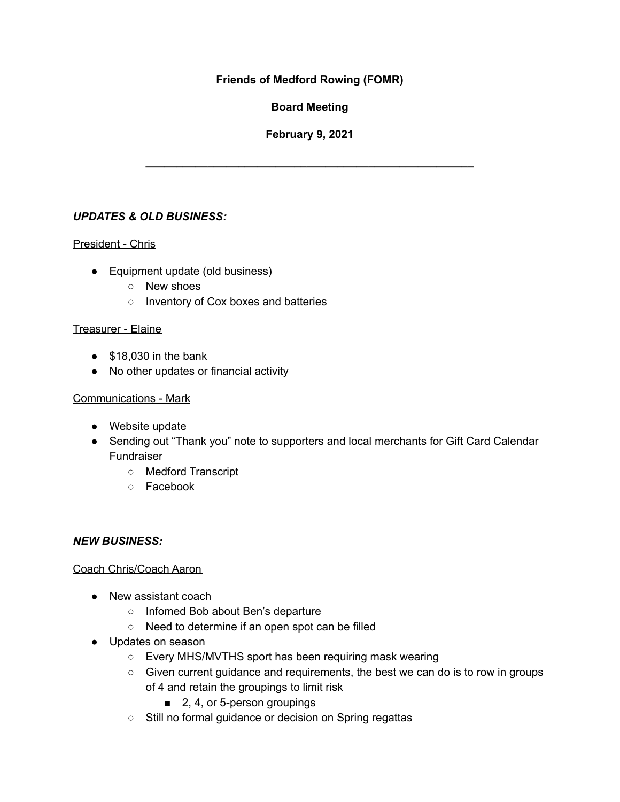### **Friends of Medford Rowing (FOMR)**

## **Board Meeting**

## **February 9, 2021**

**\_\_\_\_\_\_\_\_\_\_\_\_\_\_\_\_\_\_\_\_\_\_\_\_\_\_\_\_\_\_\_\_\_\_\_\_\_\_\_\_\_\_\_\_\_\_\_\_\_\_\_\_\_**

## *UPDATES & OLD BUSINESS:*

### President - Chris

- Equipment update (old business)
	- New shoes
	- Inventory of Cox boxes and batteries

#### Treasurer - Elaine

- $\bullet$  \$18,030 in the bank
- No other updates or financial activity

#### Communications - Mark

- Website update
- Sending out "Thank you" note to supporters and local merchants for Gift Card Calendar Fundraiser
	- Medford Transcript
	- Facebook

#### *NEW BUSINESS:*

#### Coach Chris/Coach Aaron

- New assistant coach
	- Infomed Bob about Ben's departure
	- Need to determine if an open spot can be filled
- Updates on season
	- Every MHS/MVTHS sport has been requiring mask wearing
	- Given current guidance and requirements, the best we can do is to row in groups of 4 and retain the groupings to limit risk
		- 2, 4, or 5-person groupings
	- Still no formal guidance or decision on Spring regattas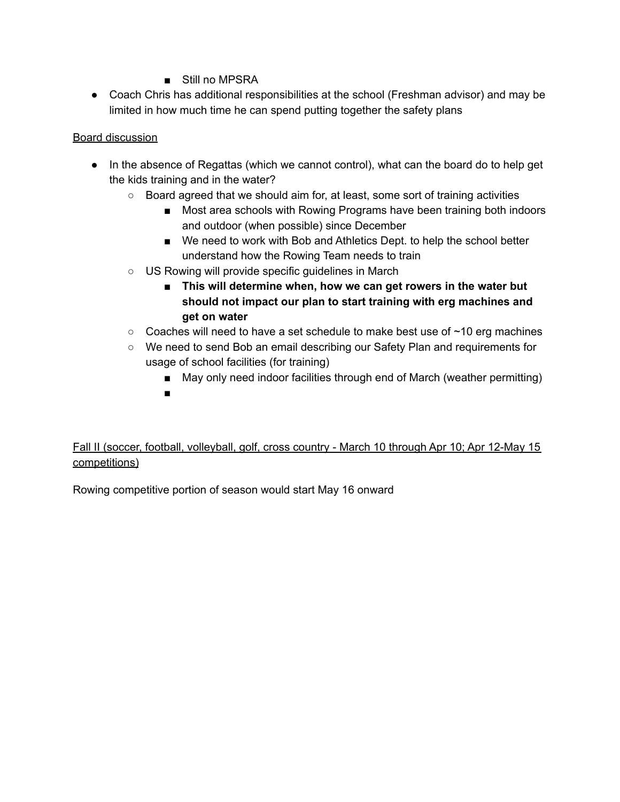- Still no MPSRA
- Coach Chris has additional responsibilities at the school (Freshman advisor) and may be limited in how much time he can spend putting together the safety plans

### Board discussion

- In the absence of Regattas (which we cannot control), what can the board do to help get the kids training and in the water?
	- Board agreed that we should aim for, at least, some sort of training activities
		- Most area schools with Rowing Programs have been training both indoors and outdoor (when possible) since December
		- We need to work with Bob and Athletics Dept. to help the school better understand how the Rowing Team needs to train
	- US Rowing will provide specific guidelines in March
		- **■ This will determine when, how we can get rowers in the water but should not impact our plan to start training with erg machines and get on water**
	- $\circ$  Coaches will need to have a set schedule to make best use of  $\sim$ 10 erg machines
	- We need to send Bob an email describing our Safety Plan and requirements for usage of school facilities (for training)
		- May only need indoor facilities through end of March (weather permitting)
		- ■

# Fall II (soccer, football, volleyball, golf, cross country - March 10 through Apr 10; Apr 12-May 15 competitions)

Rowing competitive portion of season would start May 16 onward